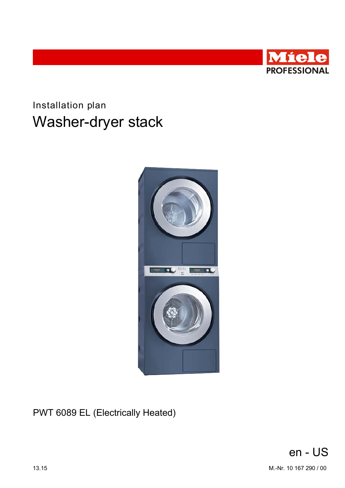

# Installation plan Washer-dryer stack



PWT 6089 EL (Electrically Heated)

en - US 13.15 M.-Nr. 10 167 290 / 00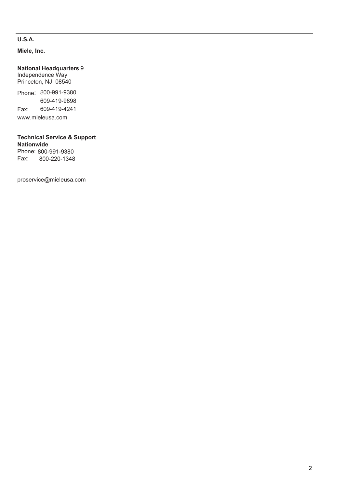## **U.S.A.**

**Miele, Inc.**

## **National Headquarters** 9

Independence Way Princeton, NJ 08540

Phone: 800-991-9380 Fax: www.mieleusa.com 609-419-9898 609-419-4241

## **Technical Service & Support Nationwide**

Phone: 800-991-9380<br>Fax: 800-220-1348 Fax: 800-220-1348

proservice@mieleusa.com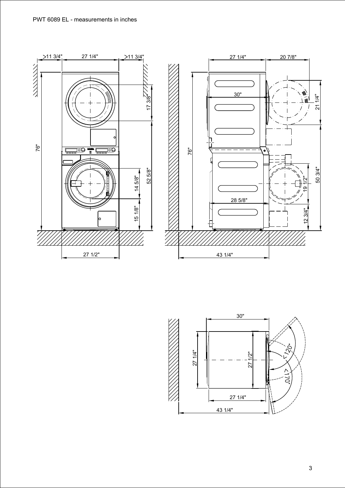



3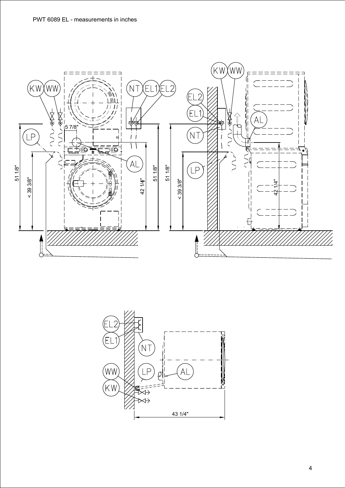

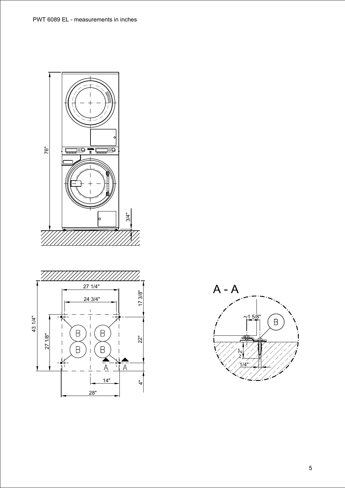



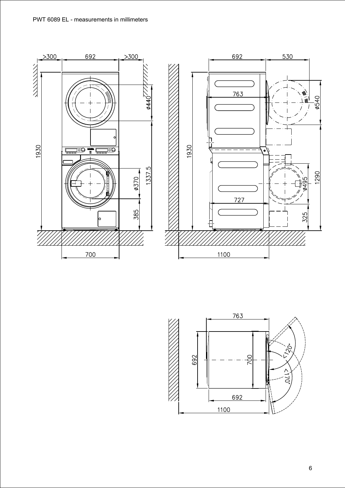



 $\boldsymbol{6}$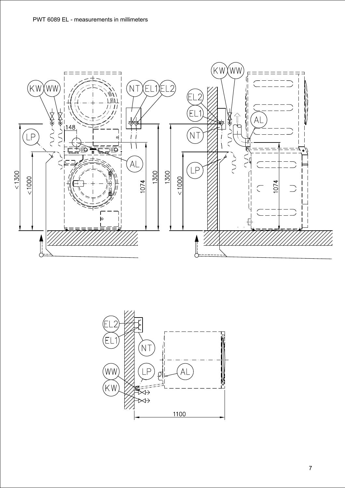

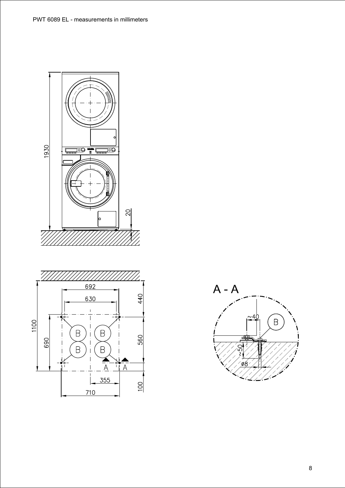





 $\bf 8$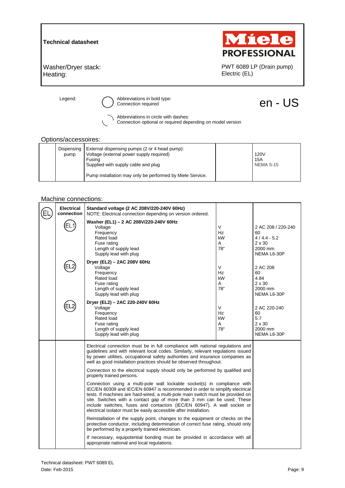**Technical datasheet** 



PWT 6089 LP (Drain pump)

Electric (EL)

Washer/Dryer stack: Heating:

Legend:  $\bigcirc$  Abbreviations in bold type:<br>  $\bigcirc$  Connection required  $\bigcirc$  Connection required

Abbreviations in circle with dashes:

Connection optional or required depending on model version

#### Options/accessoires:

| Dispensing<br>pump | External dispensing pumps (2 or 4 head pump):<br>Voltage (external power supply required)<br>Fusina<br>Supplied with supply cable and plug | <b>120V</b><br>15A<br><b>NEMA 5-15</b> |
|--------------------|--------------------------------------------------------------------------------------------------------------------------------------------|----------------------------------------|
|                    | Pump installation may only be performed by Miele Service.                                                                                  |                                        |

### Machine connections:

| <b>Electrical</b><br>connection | Standard voltage (2 AC 208V/220-240V 60Hz)<br>NOTE: Electrical connection depending on version ordered.                                                                                                                                                                                                                                                                                                                                                                                                                                                                                                                                                                                                                                                                                                                                                                                                           |                                |                                                                                      |
|---------------------------------|-------------------------------------------------------------------------------------------------------------------------------------------------------------------------------------------------------------------------------------------------------------------------------------------------------------------------------------------------------------------------------------------------------------------------------------------------------------------------------------------------------------------------------------------------------------------------------------------------------------------------------------------------------------------------------------------------------------------------------------------------------------------------------------------------------------------------------------------------------------------------------------------------------------------|--------------------------------|--------------------------------------------------------------------------------------|
|                                 | Washer (EL1) - 2 AC 208V/220-240V 60Hz<br>Voltage<br>Frequency<br>Rated load<br>Fuse rating<br>Length of supply lead<br>Supply lead with plug                                                                                                                                                                                                                                                                                                                                                                                                                                                                                                                                                                                                                                                                                                                                                                     | V<br>Hz<br>kW<br>A<br>78"      | 2 AC 208 / 220-240<br>60<br>$4/4.4 - 5.2$<br>$2 \times 30$<br>2000 mm<br>NEMA L6-30P |
|                                 | Dryer (EL2) - 2AC 208V 60Hz<br>Voltage<br>Frequency<br>Rated load<br>Fuse rating<br>Length of supply lead<br>Supply lead with plug                                                                                                                                                                                                                                                                                                                                                                                                                                                                                                                                                                                                                                                                                                                                                                                | V<br>Hz<br>kW<br>A<br>78"      | 2 AC 208<br>60<br>4.84<br>$2 \times 30$<br>2000 mm<br>NEMA L6-30P                    |
|                                 | Dryer (EL2) - 2AC 220-240V 60Hz<br>Voltage<br>Frequency<br>Rated load<br>Fuse rating<br>Length of supply lead<br>Supply lead with plug                                                                                                                                                                                                                                                                                                                                                                                                                                                                                                                                                                                                                                                                                                                                                                            | $\vee$<br>Hz<br>kW<br>A<br>78" | 2 AC 220-240<br>60<br>5.7<br>$2 \times 30$<br>2000 mm<br>NEMA L6-30P                 |
|                                 | Electrical connection must be in full compliance with national regulations and<br>guidelines and with relevant local codes. Similarly, relevant regulations issued<br>by power utilities, occupational safety authorities and insurance companies as<br>well as good installation practices should be observed throughout.<br>Connection to the electrical supply should only be performed by qualified and<br>properly trained persons.<br>Connection using a multi-pole wall lockable socket(s) in compliance with<br>IEC/EN 60309 and IEC/EN 60947 is recommended in order to simplify electrical<br>tests. If machines are hard-wired, a multi-pole main switch must be provided on<br>site. Switches with a contact gap of more than 3 mm can be used. These<br>include switches, fuses and contactors (IEC/EN 60947). A wall socket or<br>electrical isolator must be easily accessible after installation. |                                |                                                                                      |
|                                 |                                                                                                                                                                                                                                                                                                                                                                                                                                                                                                                                                                                                                                                                                                                                                                                                                                                                                                                   |                                |                                                                                      |
|                                 | Reinstallation of the supply point, changes to the equipment or checks on the<br>protective conductor, including determination of correct fuse rating, should only<br>be performed by a properly trained electrician.                                                                                                                                                                                                                                                                                                                                                                                                                                                                                                                                                                                                                                                                                             |                                |                                                                                      |
|                                 | If necessary, equipotential bonding must be provided in accordance with all<br>appropriate national and local regulations.                                                                                                                                                                                                                                                                                                                                                                                                                                                                                                                                                                                                                                                                                                                                                                                        |                                |                                                                                      |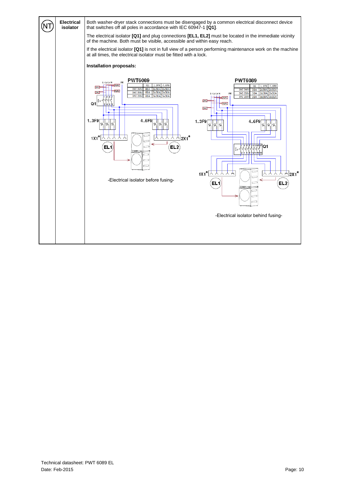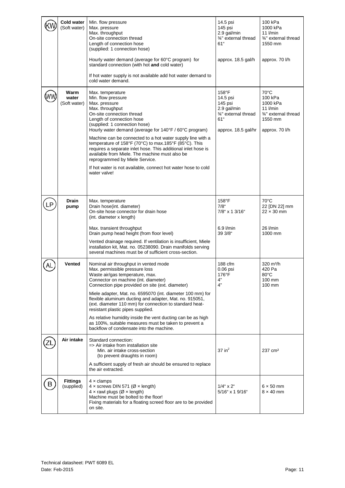|    | Cold water<br>(Soft water)    | Min. flow pressure<br>Max. pressure<br>Max. throughput<br>On-site connection thread<br>Length of connection hose<br>(supplied: 1 connection hose)<br>Hourly water demand (average for 60°C program) for<br>standard connection (with hot and cold water)<br>If hot water supply is not available add hot water demand to<br>cold water demand.                                                                                                                                                                                                                                                      | 14.5 psi<br>145 psi<br>2.9 gal/min<br>3/4" external thread<br>61"<br>approx. 18.5 gal/h           | 100 kPa<br>1000 kPa<br>$11$ <i>l/min</i><br>3/4" external thread<br>1550 mm<br>approx. 70 l/h            |
|----|-------------------------------|-----------------------------------------------------------------------------------------------------------------------------------------------------------------------------------------------------------------------------------------------------------------------------------------------------------------------------------------------------------------------------------------------------------------------------------------------------------------------------------------------------------------------------------------------------------------------------------------------------|---------------------------------------------------------------------------------------------------|----------------------------------------------------------------------------------------------------------|
|    | Warm<br>water<br>(Soft water) | Max. temperature<br>Min. flow pressure<br>Max. pressure<br>Max. throughput<br>On-site connection thread<br>Length of connection hose<br>(supplied: 1 connection hose)<br>Hourly water demand (average for 140°F / 60°C program)<br>Machine can be connected to a hot water supply line with a<br>temperature of 158°F (70°C) to max.185°F (85°C). This<br>requires a separate inlet hose. This additional inlet hose is<br>available from Miele. The machine must also be<br>reprogrammed by Miele Service.<br>If hot water is not available, connect hot water hose to cold<br>water valve!        | 158°F<br>14.5 psi<br>145 psi<br>2.9 gal/min<br>3/4" external thread<br>61"<br>approx. 18.5 gal/hr | $70^{\circ}$ C<br>100 kPa<br>1000 kPa<br>$11$ I/min<br>3/4" external thread<br>1550 mm<br>approx. 70 l/h |
| LP | Drain<br>pump                 | Max. temperature<br>Drain hose(int. diameter)<br>On-site hose connector for drain hose<br>(int. diameter x length)<br>Max. transient throughput<br>Drain pump head height (from floor level)<br>Vented drainage required. If ventilation is insufficient, Miele<br>installation kit, Mat. no. 05238090. Drain manifolds serving<br>several machines must be of sufficient cross-section.                                                                                                                                                                                                            | $158^{\circ}$ F<br>$7/8$ "<br>7/8" x 1 3/16"<br>6.9 l/min<br>39 3/8"                              | $70^{\circ}$ C<br>22 [DN 22] mm<br>$22 \times 30$ mm<br>26 l/min<br>1000 mm                              |
|    | <b>Vented</b>                 | Nominal air throughput in vented mode<br>Max. permissible pressure loss<br>Waste air/gas temperature, max.<br>Connector on machine (int. diameter)<br>Connection pipe provided on site (ext. diameter)<br>Miele adapter, Mat. no. 6595070 (int. diameter 100 mm) for<br>flexible aluminum ducting and adapter, Mat. no. 915051,<br>(ext. diameter 110 mm) for connection to standard heat-<br>resistant plastic pipes supplied.<br>As relative humidity inside the vent ducting can be as high<br>as 100%, suitable measures must be taken to prevent a<br>backflow of condensate into the machine. | 188 cfm<br>$0.06$ psi<br>176°F<br>$4"$<br>4"                                                      | 320 m <sup>3</sup> /h<br>420 Pa<br>$80^{\circ}$ C<br>100 mm<br>100 mm                                    |
|    | Air intake                    | Standard connection:<br>=> Air intake from installation site<br>Min. air intake cross-section<br>(to prevent draughts in room)<br>A sufficient supply of fresh air should be ensured to replace<br>the air extracted.                                                                                                                                                                                                                                                                                                                                                                               | $37$ in <sup>2</sup>                                                                              | 237 cm <sup>2</sup>                                                                                      |
| B  | <b>Fittings</b><br>(supplied) | $4 \times$ clamps<br>4 x screws DIN 571 (Ø x length)<br>$4 \times$ rawl plugs ( $\varnothing \times$ length)<br>Machine must be bolted to the floor!<br>Fixing materials for a floating screed floor are to be provided<br>on site.                                                                                                                                                                                                                                                                                                                                                                 | $1/4$ " x $2$ "<br>5/16" x 1 9/16"                                                                | $6 \times 50$ mm<br>$8 \times 40$ mm                                                                     |